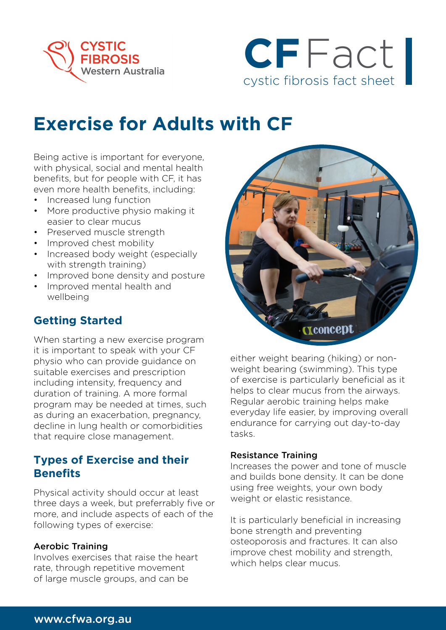



# **Exercise for Adults with CF**

Being active is important for everyone, with physical, social and mental health benefits, but for people with CF, it has even more health benefits, including:

- Increased lung function
- More productive physio making it easier to clear mucus
- Preserved muscle strength
- Improved chest mobility
- Increased body weight (especially with strength training)
- Improved bone density and posture
- Improved mental health and wellbeing

#### **Getting Started**

When starting a new exercise program it is important to speak with your CF physio who can provide guidance on suitable exercises and prescription including intensity, frequency and duration of training. A more formal program may be needed at times, such as during an exacerbation, pregnancy, decline in lung health or comorbidities that require close management.

#### **Types of Exercise and their Benefits**

Physical activity should occur at least three days a week, but preferrably five or more, and include aspects of each of the following types of exercise:

#### Aerobic Training

Involves exercises that raise the heart rate, through repetitive movement of large muscle groups, and can be



either weight bearing (hiking) or nonweight bearing (swimming). This type of exercise is particularly beneficial as it helps to clear mucus from the airways. Regular aerobic training helps make everyday life easier, by improving overall endurance for carrying out day-to-day tasks.

#### Resistance Training

Increases the power and tone of muscle and builds bone density. It can be done using free weights, your own body weight or elastic resistance.

It is particularly beneficial in increasing bone strength and preventing osteoporosis and fractures. It can also improve chest mobility and strength, which helps clear mucus.